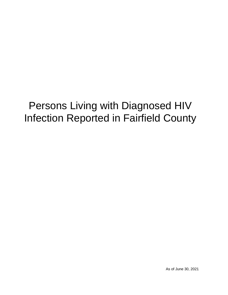# Persons Living with Diagnosed HIV Infection Reported in Fairfield County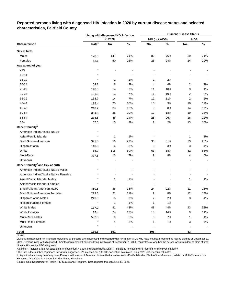|                                                                                                                                                                                                                                                                                                         |                   | Living with diagnosed HIV infection |       |                       |       | <b>Current Disease Status</b> |       |
|---------------------------------------------------------------------------------------------------------------------------------------------------------------------------------------------------------------------------------------------------------------------------------------------------------|-------------------|-------------------------------------|-------|-----------------------|-------|-------------------------------|-------|
| Characteristic<br>Sex at birth<br>Males<br>Females<br>Age at end of year<br>< 13<br>13-14<br>15-19<br>20-24<br>25-29<br>30-34<br>35-39<br>40-44<br>45-49<br>50-54<br>55-64<br>$65+$<br>Race/Ethnicity <sup>b</sup><br>American Indian/Alaska Native<br>Asian/Pacific Islander<br>Black/African-American |                   | in 2020                             |       | <b>HIV (not AIDS)</b> |       | <b>AIDS</b>                   |       |
|                                                                                                                                                                                                                                                                                                         | Rate <sup>a</sup> | No.                                 | $\%$  | No.                   | %     | No.                           | $\%$  |
|                                                                                                                                                                                                                                                                                                         |                   |                                     |       |                       |       |                               |       |
|                                                                                                                                                                                                                                                                                                         | 178.0             | 141                                 | 74%   | 82                    | 76%   | 59                            | 71%   |
|                                                                                                                                                                                                                                                                                                         | 62.1              | 50                                  | 26%   | 26                    | 24%   | 24                            | 29%   |
|                                                                                                                                                                                                                                                                                                         |                   |                                     |       |                       |       |                               |       |
|                                                                                                                                                                                                                                                                                                         |                   |                                     |       |                       |       |                               |       |
|                                                                                                                                                                                                                                                                                                         |                   |                                     |       |                       |       |                               |       |
|                                                                                                                                                                                                                                                                                                         | $\star$           | 2                                   | 1%    | 2                     | 2%    |                               |       |
|                                                                                                                                                                                                                                                                                                         | 63.8              | 6                                   | 3%    | 4                     | 4%    | 2                             | 2%    |
|                                                                                                                                                                                                                                                                                                         | 148.0             | 14                                  | 7%    | 11                    | 10%   | 3                             | 4%    |
|                                                                                                                                                                                                                                                                                                         | 131.3             | 13                                  | 7%    | 11                    | 10%   | 2                             | 2%    |
|                                                                                                                                                                                                                                                                                                         | 133.7             | 14                                  | 7%    | 12                    | 11%   | 2                             | 2%    |
|                                                                                                                                                                                                                                                                                                         | 195.4             | 20                                  | 10%   | 10                    | 9%    | 10                            | 12%   |
|                                                                                                                                                                                                                                                                                                         | 218.2             | 23                                  | 12%   | 9                     | 8%    | 14                            | 17%   |
|                                                                                                                                                                                                                                                                                                         | 354.8             | 38                                  | 20%   | 19                    | 18%   | 19                            | 23%   |
|                                                                                                                                                                                                                                                                                                         | 218.8             | 46                                  | 24%   | 28                    | 26%   | 18                            | 22%   |
|                                                                                                                                                                                                                                                                                                         | 57.0              | 15                                  | 8%    | $\overline{2}$        | 2%    | 13                            | 16%   |
|                                                                                                                                                                                                                                                                                                         |                   |                                     |       |                       |       |                               |       |
|                                                                                                                                                                                                                                                                                                         |                   |                                     |       |                       |       |                               |       |
|                                                                                                                                                                                                                                                                                                         | $\star$           | 1                                   | 1%    |                       |       | 1                             | 1%    |
|                                                                                                                                                                                                                                                                                                         | 391.8             | 56                                  | 29%   | 33                    | 31%   | 23                            | 28%   |
| Hispanic/Latinx                                                                                                                                                                                                                                                                                         | 148.3             | 6                                   | 3%    | 3                     | 3%    | 3                             | 4%    |
| White                                                                                                                                                                                                                                                                                                   | 85.7              | 115                                 | 60%   | 63                    | 58%   | 52                            | 63%   |
| Multi-Race                                                                                                                                                                                                                                                                                              | 377.5             | 13                                  | 7%    | 9                     | 8%    | 4                             | 5%    |
| Unknown                                                                                                                                                                                                                                                                                                 |                   |                                     |       |                       |       |                               |       |
| Race/Ethnicity <sup>b</sup> and Sex at birth                                                                                                                                                                                                                                                            |                   |                                     |       |                       |       |                               |       |
| American Indian/Alaska Native Males                                                                                                                                                                                                                                                                     | $\star$           |                                     |       |                       |       |                               |       |
| American Indian/Alaska Native Females                                                                                                                                                                                                                                                                   |                   |                                     |       |                       |       |                               |       |
| Asian/Pacific Islander Males                                                                                                                                                                                                                                                                            |                   | 1                                   | 1%    |                       |       | 1                             | 1%    |
| Asian/Pacific Islander Females                                                                                                                                                                                                                                                                          |                   |                                     |       |                       |       |                               |       |
| Black/African-American Males                                                                                                                                                                                                                                                                            | 480.5             | 35                                  | 18%   | 24                    | 22%   | 11                            | 13%   |
| Black/African-American Females                                                                                                                                                                                                                                                                          | 299.6             | 21                                  | 11%   | 9                     | $8%$  | 12                            | 14%   |
| Hispanic/Latino Males                                                                                                                                                                                                                                                                                   | 243.3             | 5                                   | 3%    | 2                     | 2%    | 3                             | 4%    |
| Hispanic/Latina Females                                                                                                                                                                                                                                                                                 | $\star$           | $\mathbf{1}$                        | 1%    | 1                     | 1%    |                               |       |
| <b>White Males</b>                                                                                                                                                                                                                                                                                      | 137.2             | 91                                  | 48%   | 48                    | 44%   | 43                            | 52%   |
| <b>White Females</b>                                                                                                                                                                                                                                                                                    | 35.4              | 24                                  | 13%   | 15                    | 14%   | 9                             | 11%   |
| Multi-Race Males                                                                                                                                                                                                                                                                                        | 532.5             | 9                                   | $5\%$ | 8                     | $7\%$ | 1                             | $1\%$ |
| Multi-Race Females                                                                                                                                                                                                                                                                                      | $\star$           | 4                                   | 2%    | 1                     | 1%    | 3                             | 4%    |
| Unknown                                                                                                                                                                                                                                                                                                 | $\star$           |                                     |       |                       |       |                               |       |
| <b>Total</b>                                                                                                                                                                                                                                                                                            | 119.6             | 191                                 |       | 108                   |       | 83                            |       |

# **Reported persons living with diagnosed HIV infection in 2020 by current disease status and selected characteristics, Fairfield County**

Living with diagnosed HIV infection represents all persons ever diagnosed and reported with HIV and/or AIDS who have not been reported as having died as of December 31, 2020. Persons living with diagnosed HIV infection represent persons living in Ohio as of December 31, 2020, regardless of whether the person was a resident of Ohio at time of initial HIV and/or AIDS diagnosis.

Asterisk (\*) indicates rate not calculated for case count <5 due to unstable rates. Dash (-) indicates no cases were reported for the given category.

a The rate is the number of persons living with diagnosed HIV infection per 100,000 population calculated using 2020 U.S. Census estimates.

ᵇ Hispanics/Latinx may be of any race. Persons with a race of American Indian/Alaska Native, Asian/Pacific Islander, Black/African-American, White, or Multi-Race are not-Hispanic. Asian/Pacific Islander includes Native Hawaiians.

Notes: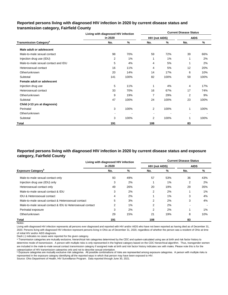### **Reported persons living with diagnosed HIV infection in 2020 by current disease status and transmission category, Fairfield County**

|                                          | Living with diagnosed HIV infection |      | <b>Current Disease Status</b> |       |             |      |  |  |  |  |
|------------------------------------------|-------------------------------------|------|-------------------------------|-------|-------------|------|--|--|--|--|
|                                          | in 2020                             |      | <b>HIV (not AIDS)</b>         |       | <b>AIDS</b> |      |  |  |  |  |
| <b>Transmission Category<sup>a</sup></b> | No.                                 | %    | No.                           | %     | No.         | %    |  |  |  |  |
| Male adult or adolescent                 |                                     |      |                               |       |             |      |  |  |  |  |
| Male-to-male sexual contact              | 98                                  | 70%  | 59                            | 72%   | 39          | 66%  |  |  |  |  |
| Injection drug use (IDU)                 | 2                                   | 1%   | 1                             | $1\%$ | 1           | 2%   |  |  |  |  |
| Male-to-male sexual contact and IDU      | 5                                   | 4%   | 4                             | 5%    |             | 2%   |  |  |  |  |
| Heterosexual contact                     | 16                                  | 11%  | 4                             | 5%    | 12          | 20%  |  |  |  |  |
| Other/unknown                            | 20                                  | 14%  | 14                            | 17%   | 6           | 10%  |  |  |  |  |
| Subtotal                                 | 141                                 | 100% | 82                            | 100%  | 59          | 100% |  |  |  |  |
| Female adult or adolescent               |                                     |      |                               |       |             |      |  |  |  |  |
| Injection drug use                       | 5                                   | 11%  | 1                             | 4%    | 4           | 17%  |  |  |  |  |
| Heterosexual contact                     | 33                                  | 70%  | 16                            | 67%   | 17          | 74%  |  |  |  |  |
| Other/unknown                            | 9                                   | 19%  | 7                             | 29%   | 2           | 9%   |  |  |  |  |
| Subtotal                                 | 47                                  | 100% | 24                            | 100%  | 23          | 100% |  |  |  |  |
| Child (<13 yrs at diagnosis)             |                                     |      |                               |       |             |      |  |  |  |  |
| Perinatal                                | 3                                   | 100% | 2                             | 100%  | 1           | 100% |  |  |  |  |
| Other/unknown                            |                                     |      |                               |       |             |      |  |  |  |  |
| Subtotal                                 | 3                                   | 100% | 2                             | 100%  | 1           | 100% |  |  |  |  |
| Total                                    | 191                                 |      | 108                           |       | 83          |      |  |  |  |  |

### **Reported persons living with diagnosed HIV infection in 2020 by current disease status and exposure category, Fairfield County**

|                                                          | Living with diagnosed HIV infection |       | <b>Current Disease Status</b> |     |             |       |  |  |  |  |
|----------------------------------------------------------|-------------------------------------|-------|-------------------------------|-----|-------------|-------|--|--|--|--|
|                                                          | in 2020                             |       | <b>HIV (not AIDS)</b>         |     | <b>AIDS</b> |       |  |  |  |  |
| <b>Exposure Category</b> <sup>b</sup>                    | No.                                 | %     | No.                           | %   | No.         | %     |  |  |  |  |
| Male-to-male sexual contact only                         | 93                                  | 49%   | 57                            | 53% | 36          | 43%   |  |  |  |  |
| Injection drug use (IDU) only                            | 3                                   | 2%    |                               | 1%  | 2           | 2%    |  |  |  |  |
| Heterosexual contact only                                | 49                                  | 26%   | 20                            | 19% | 29          | 35%   |  |  |  |  |
| Male-to-male sexual contact & IDU                        | 3                                   | 2%    | 2                             | 2%  |             | $1\%$ |  |  |  |  |
| <b>IDU &amp; Heterosexual contact</b>                    | 4                                   | 2%    |                               | 1%  | 3           | 4%    |  |  |  |  |
| Male-to-male sexual contact & Heterosexual contact       | 5                                   | 3%    | 2                             | 2%  | 3           | 4%    |  |  |  |  |
| Male-to-male sexual contact & IDU & Heterosexual contact | 2                                   | $1\%$ | $\overline{2}$                | 2%  |             |       |  |  |  |  |
| Perinatal exposure                                       | 3                                   | 2%    | $\overline{2}$                | 2%  |             | 1%    |  |  |  |  |
| Other/unknown                                            | 29                                  | 15%   | 21                            | 19% | 8           | 10%   |  |  |  |  |
| Total                                                    | 191                                 |       | 108                           |     | 83          |       |  |  |  |  |

Notes:

Living with diagnosed HIV infection represents all persons ever diagnosed and reported with HIV and/or AIDS who have not been reported as having died as of December 31, 2020. Persons living with diagnosed HIV infection represent persons living in Ohio as of December 31, 2020, regardless of whether the person was a resident of Ohio at time of initial HIV and/or AIDS diagnosis.

Dash (-) indicates no cases were reported for the given category.

a Transmission categories are mutually exclusive, hierarchical risk categories determined by the CDC and system-calculated using sex at birth and risk factor history to determine mode of transmission. A person with multiple risks is only represented in the highest category based on the CDC hierarchical algorithm. Thus, transgender women are included in the male-to-male sexual contact transmission category if assigned male at birth and risk factor history indicates sex with males. Please note this is for the categorization of HIV transmission categories only and not to describe sexual orientation.

**b** Exposure categories are mutually exclusive risk categories. All possible combinations of risks are represented among exposure categories. A person with multiple risks is represented in the exposure category identifying all the reported ways in which that person may have been exposed to HIV.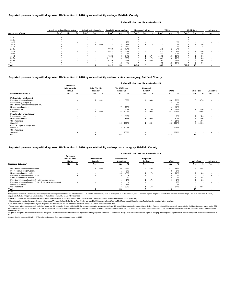|                    |                   | American Indian/Alaska Native |   | <b>Asian/Pacific Islander</b> |                          |                          | <b>Black/African-American</b> |     |     | Hispanic/ Latinx <sup>a</sup> |     |                          | White             |                          |     | <b>Multi-Race</b> |     |     | <b>Unknown</b> |   |
|--------------------|-------------------|-------------------------------|---|-------------------------------|--------------------------|--------------------------|-------------------------------|-----|-----|-------------------------------|-----|--------------------------|-------------------|--------------------------|-----|-------------------|-----|-----|----------------|---|
| Age at end of year | Rate <sup>b</sup> | No.                           | % | Rate <sup>p</sup>             | No.                      | %                        | Rate <sup>r</sup>             | No. | %   | Rate <sup>r</sup>             | No. | %                        | Rate <sup>'</sup> | No.                      | %   | Rate <sup>"</sup> | No. | %   | No.            | % |
| < 13               |                   |                               |   |                               |                          |                          |                               |     |     |                               |     |                          |                   |                          |     |                   |     |     |                |   |
| $13 - 14$          |                   |                               |   |                               |                          | $\overline{\phantom{a}}$ |                               |     | . . |                               |     |                          |                   | $\overline{\phantom{0}}$ |     |                   |     |     |                |   |
| $15 - 19$          |                   |                               |   |                               |                          | $\,$ $\,$                |                               |     | 2%  |                               |     |                          |                   |                          | 1%  |                   |     |     |                |   |
| $20 - 24$          |                   |                               |   |                               |                          | 100%                     |                               |     | 4%  |                               |     | 17%                      | $\star$           |                          | 1%  |                   |     | 8%  |                |   |
| 25-29              |                   | $\,$ $\,$                     |   |                               | $\overline{\phantom{a}}$ | $\sim$                   | 746.3                         | 8   | 14% |                               |     | . .                      |                   |                          | 3%  |                   |     | 15% |                |   |
| 30-34              |                   |                               |   |                               |                          | <b>.</b>                 | 772.9                         |     | 14% |                               |     | $\overline{\phantom{a}}$ | 62.0              | 5                        | 4%  |                   |     |     |                |   |
| 35-39              |                   |                               |   |                               | $\sim$                   | $\sim$                   | 551.0                         | h.  | 11% | $\ast$                        |     | $\sim$                   | 57.7              |                          | 4%  | $\star$           | 3   | 23% |                |   |
| 40-44              |                   |                               |   |                               |                          | $\overline{\phantom{a}}$ |                               |     | 7%  |                               |     | <b>.</b>                 | 166.3             | 14                       | 12% |                   |     | 15% |                |   |
| 45-49              |                   | $\,$ $\,$                     |   |                               | $\sim$                   | $\sim$                   | 713.6                         | 8   | 14% | $\star$                       |     | 17%                      | 148.0             | 13                       | 11% |                   |     | 8%  |                |   |
| 50-54              |                   | $\sim$                        |   |                               | $\overline{\phantom{a}}$ | $\overline{\phantom{a}}$ | .111.1                        | 10  | 18% | $\star$                       |     | 17%                      | 283.1             | 26                       | 23% |                   |     | 8%  |                |   |
| 55-64              |                   |                               |   |                               | $\,$ $\,$                | $\sim$                   | 534.8                         |     | 13% | $\star$                       |     | 50%                      | 180.0             | 34                       | 30% | $\star$           |     | 15% |                |   |
| $65+$              |                   |                               |   |                               |                          | $\overline{\phantom{a}}$ |                               |     | 4%  |                               |     | $\sim$                   | 48.6              | 12                       | 10% |                   |     | 8%  |                |   |
| <b>Total</b>       |                   | $\overline{\phantom{0}}$      |   |                               |                          |                          | 391.8                         | 56  |     | 148.3                         |     |                          | 85.7              | 115                      |     | 377.5             | 13  |     |                |   |

|                                           | Living with diagnosed HIV infection in 2020 |                          |                                         |          |                                   |                          |                                  |                          |                          |      |                          |      |                          |                          |
|-------------------------------------------|---------------------------------------------|--------------------------|-----------------------------------------|----------|-----------------------------------|--------------------------|----------------------------------|--------------------------|--------------------------|------|--------------------------|------|--------------------------|--------------------------|
|                                           | American<br>Indian/Alaska<br><b>Native</b>  |                          | <b>Asian/Pacific</b><br><b>Islander</b> |          | <b>Black/African-</b><br>American |                          | Hispanic/<br>Latinx <sup>a</sup> |                          | White                    |      | <b>Multi-Race</b>        |      | <b>Unknown</b>           |                          |
| <b>Transmission Category</b> <sup>c</sup> | No.                                         | %                        | No.                                     | %        | No.                               | %                        | No.                              | %                        | No.                      | %    | No.                      | %    | No.                      | %                        |
| Male adult or adolescent                  |                                             |                          |                                         |          |                                   |                          |                                  |                          |                          |      |                          |      |                          |                          |
| Male-to-male sexual contact               | $\blacksquare$                              | $\overline{\phantom{a}}$ |                                         | 100%     | 21                                | 60%                      |                                  | 80%                      | 66                       | 73%  | 6                        | 67%  |                          | $\overline{\phantom{a}}$ |
| Injection drug use (IDU)                  | $\blacksquare$                              | $\overline{\phantom{a}}$ |                                         | $\sim$   | $\overline{\phantom{a}}$          | $\sim$                   |                                  | $\overline{\phantom{a}}$ | 2                        | 2%   |                          |      |                          |                          |
| Male-to-male sexual contact and IDU       |                                             |                          |                                         | $\sim$   |                                   |                          |                                  | $\overline{\phantom{a}}$ | 5                        | 5%   |                          |      |                          |                          |
| Heterosexual contact                      | $\blacksquare$                              |                          | $\sim$                                  | $\sim$   |                                   | 20%                      |                                  | . .                      | 9                        | 10%  |                          |      |                          | $\,$                     |
| Other/unknown                             | $\blacksquare$                              | $\overline{\phantom{a}}$ | $\sim$                                  | $\sim$   |                                   | 20%                      |                                  | 20%                      | 9                        | 10%  | 3                        | 33%  | $\sim$                   | $\sim$                   |
| Subtotal                                  | $\blacksquare$                              | $\overline{\phantom{a}}$ |                                         | 100%     | 35                                | 100%                     | 5                                | 100%                     | 91                       | 100% | 9                        | 100% | $\sim$                   | $\overline{\phantom{a}}$ |
| Female adult or adolescent                |                                             |                          |                                         |          |                                   |                          |                                  |                          |                          |      |                          |      |                          |                          |
| Injection drug use                        | $\blacksquare$                              | $\overline{\phantom{a}}$ | $\sim$                                  | $\sim$   | $\overline{2}$                    | 11%                      |                                  | $\overline{\phantom{a}}$ | 2                        | 9%   |                          | 25%  | $\overline{\phantom{a}}$ | $\overline{\phantom{a}}$ |
| Heterosexual contact                      |                                             |                          | $\sim$                                  | <b>.</b> | 17                                | 89%                      |                                  | 100%                     | 14                       | 61%  |                          | 25%  | $\sim$                   | $\overline{\phantom{a}}$ |
| Other/unknown                             |                                             |                          |                                         | <b>.</b> | $\overline{\phantom{a}}$          | $\overline{\phantom{a}}$ |                                  |                          |                          | 30%  | 2                        | 50%  | $\sim$                   | $\overline{\phantom{a}}$ |
| Subtotal                                  | $\blacksquare$                              | $\overline{\phantom{a}}$ | $\sim$                                  | $\sim$   | 19                                | 100%                     |                                  | 100%                     | 23                       | 100% | 4                        | 100% | $\sim$                   | $\sim$                   |
| Child (<13 yrs at diagnosis)              |                                             |                          |                                         |          |                                   |                          |                                  |                          |                          |      |                          |      |                          |                          |
| Perinatal                                 | $\blacksquare$                              |                          | $\sim$                                  | $\sim$   | $\mathbf{2}$                      | 100%                     | $\sim$                           | $\overline{\phantom{a}}$ |                          | 100% |                          |      |                          |                          |
| Other/unknown                             | $\blacksquare$                              | $\overline{\phantom{a}}$ | $\sim$                                  | $\sim$   | $\overline{\phantom{a}}$          |                          | $\sim$                           | $\sim$                   | $\overline{\phantom{a}}$ |      | $\overline{\phantom{a}}$ |      |                          | $\,$ $\,$                |
| Subtotal                                  | $\blacksquare$                              |                          | $\sim$                                  | <b>.</b> | 2                                 | 100%                     | $\sim$                           | . .                      |                          | 100% |                          |      |                          |                          |
| Total                                     |                                             |                          |                                         |          | 56                                |                          | 6                                |                          | 115                      |      | 13                       |      | $\overline{\phantom{a}}$ |                          |

© Transmission categories are mutually exclusive, hierarchical risk categories determined by the CDC and system-calculated using sex at birth and risk factor history to determine mode of transmission. A person with multip hierarchical algorithm. Thus, transgender women are included in the male-to-male sexual contact transmission category if assigned male at birth and risk factor history indicates sex with males. Please note this is for the sexual orientation.

<sup>d</sup> Exposure categories are mutually exclusive risk categories. All possible combinations of risks are represented among exposure categories. A person with multiple risks is represented in the exposure category identifying

Living with diagnosed HIV infection represents all persons ever diagnosed and reported with HIV and/or AIDS who have not been reported as having died as of December 31, 2020. Persons living with diagnosed HIV infection rep regardless of whether the person was a resident of Ohio at time of initial HIV and/or AIDS diagnosis.

#### Notes:

#### **Reported persons living with diagnosed HIV infection in 2020 by race/ethnicity and transmission category, Fairfield County**

#### **Reported persons living with diagnosed HIV infection in 2020 by race/ethnicity and age, Fairfield County**

#### **Living with diagnosed HIV infection in 2020**

#### **Reported persons living with diagnosed HIV infection in 2020 by race/ethnicity and exposure category, Fairfield County**

#### **Living with diagnosed HIV infection in 2020**

Source: Ohio Department of Health, HIV Surveillance Program. Data reported through June 30, 2021.

|                                                          | American<br>Indian/Alaska<br><b>Native</b> |                          |        | <b>Asian/Pacific</b><br>Islander |     | <b>Black/African-</b><br>American |     | Hispanic/<br>Latinx <sup>a</sup> |     | White |        | <b>Multi-Race</b> |     |   |
|----------------------------------------------------------|--------------------------------------------|--------------------------|--------|----------------------------------|-----|-----------------------------------|-----|----------------------------------|-----|-------|--------|-------------------|-----|---|
| <b>Exposure Category<sup>d</sup></b>                     | No.                                        |                          | No.    | %                                | No. |                                   | No. |                                  | No. |       | No.    |                   | No. | % |
| Male-to-male sexual contact only                         |                                            | . .                      |        | 100%                             | 20  | 36%                               | ົ   | 50%                              | 64  | 56%   | 5      | 38%               |     |   |
| Injection drug use (IDU) only                            | $\sim$                                     | . .                      | $\sim$ | . .                              |     | 2%                                |     | . .                              |     | 2%    | $\sim$ |                   |     |   |
| Heterosexual contact only                                |                                            | . .                      | $\sim$ | $\sim$                           | 24  | 43%                               |     | 17%                              | 23  | 20%   |        | 8%                |     |   |
| Male-to-male sexual contact & IDU                        |                                            | . .                      |        | $\overline{\phantom{a}}$         |     | $\overline{\phantom{a}}$          |     | . .                              |     | 3%    |        |                   |     |   |
| IDU & Heterosexual contact                               | $\sim$                                     |                          | $\sim$ |                                  |     | 2%                                |     | . .                              |     | 2%    |        | 8%                |     | - |
| Male-to-male sexual contact & Heterosexual contact       |                                            |                          |        |                                  |     | 2%                                |     | 17%                              |     | 2%    |        | 8%                |     | - |
| Male-to-male sexual contact & IDU & Heterosexual contact |                                            |                          |        | . .                              |     | . .                               |     |                                  |     | 2%    |        |                   |     |   |
| Perinatal exposure                                       | $\overline{\phantom{0}}$                   | . .                      |        | . .                              |     | 4%                                |     | . .                              |     | 1%    | -      |                   |     |   |
| Other/unknown                                            | $\sim$                                     | $\overline{\phantom{a}}$ | $\sim$ | $\sim$                           |     | 13%                               |     | 17%                              | 16  | 14%   |        | 38%               |     |   |
| Total                                                    |                                            |                          |        |                                  | 56  |                                   |     |                                  | 115 |       | 13     |                   |     |   |

ᵇ The rate is the number of persons living with diagnosed HIV infection per 100,000 population calculated using U.S. Census estimates for that year.

Asterisk (\*) indicates rate not calculated because census data unavailable or for case count <5 due to unstable rates. Dash (-) indicates no cases were reported for the given category.

a Hispanics/Latinx may be of any race. Persons with a race of American Indian/Alaska Native, Asian/Pacific Islander, Black/African-American, White, or Multi-Race are not-Hispanic. Asian/Pacific Islander includes Native Haw

#### HIV.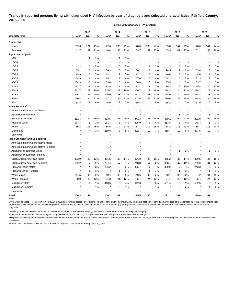# **Trends in reported persons living with diagnosed HIV infection by year of diagnosis and selected characteristics, Fairfield County, 2016-2020**

**Living with Diagnosed HIV Infection**

|                                              |                   | 2016                    |       |                   | 2017 |     |                   | 2018                    |      | 2019              |              |      | 2020              |     |       |
|----------------------------------------------|-------------------|-------------------------|-------|-------------------|------|-----|-------------------|-------------------------|------|-------------------|--------------|------|-------------------|-----|-------|
| <b>Characteristic</b>                        | Rate <sup>a</sup> | No.                     | %     | Rate <sup>a</sup> | No.  | %   | Rate <sup>a</sup> | No.                     | $\%$ | Rate <sup>a</sup> | No.          | $\%$ | Rate <sup>a</sup> | No. | %     |
| Sex at birth                                 |                   |                         |       |                   |      |     |                   |                         |      |                   |              |      |                   |     |       |
| Males                                        | 159.3             | 121                     | 79%   | 172.6             | 133  | 79% | 178.0             | 138                     | 77%  | 183.8             | 144          | 75%  | 178.0             | 141 | 74%   |
| Females                                      | 41.7              | 32                      | 21%   | 46.4              | 36   | 21% | 53.7              | 42                      | 23%  | 59.3              | 47           | 25%  | 62.1              | 50  | 26%   |
| Age at end of year                           |                   |                         |       |                   |      |     |                   |                         |      |                   |              |      |                   |     |       |
| < 13                                         | $\star$           | 1                       | 1%    |                   | 1    | 1%  |                   |                         |      |                   |              |      |                   |     |       |
| $13 - 14$                                    |                   |                         |       |                   |      |     |                   |                         |      |                   |              |      |                   |     |       |
| $15 - 19$                                    | $\star$           | 3                       | 2%    | *                 | 3    | 2%  | $\star$           | 2                       | 1%   |                   | 3            | 2%   |                   | 2   | 1%    |
| 20-24                                        | 65.1              | 6                       | 4%    | 86.3              | 8    | 5%  | 86.2              | 8                       | 4%   | 96.5              | 9            | 5%   | 63.8              | 6   | 3%    |
| 25-29                                        | 88.9              | 8                       | 5%    | 98.2              | 9    | 5%  | 87.7              | 8                       | 4%   | 139.6             | 13           | 7%   | 148.0             | 14  | 7%    |
| 30-34                                        | 64.9              | 6                       | 4%    | 75.1              | 7    | 4%  | 107.0             | 10                      | 6%   | 104.3             | 10           | 5%   | 131.3             | 13  | $7\%$ |
| 35-39                                        | 134.3             | 13                      | 8%    | 159.6             | 16   | 9%  | 156.6             | 16                      | 9%   | 135.5             | 14           | 7%   | 133.7             | 14  | 7%    |
| 40-44                                        | 131.7             | 13                      | 8%    | 132.9             | 13   | 8%  | 131.7             | 13                      | 7%   | 189.3             | 19           | 10%  | 195.4             | 20  | 10%   |
| 45-49                                        | 263.7             | 29                      | 19%   | 245.4             | 27   | 16% | 266.7             | 29                      | 16%  | 224.3             | 24           | 13%  | 218.2             | 23  | 12%   |
| 50-54                                        | 275.7             | 31                      | 20%   | 346.9             | 38   | 22% | 353.7             | 38                      | 21%  | 364.9             | 39           | 20%  | 354.8             | 38  | 20%   |
| 55-64                                        | 170.4             | 34                      | 22%   | 177.1             | 36   | 21% | 203.6             | 42                      | 23%  | 219.6             | 46           | 24%  | 218.8             | 46  | 24%   |
| $65+$                                        | 38.8              | 9                       | 6%    | 45.9              | 11   | 7%  | 56.8              | 14                      | 8%   | 55.2              | 14           | 7%   | 57.0              | 15  | 8%    |
| Race/Ethnicity <sup>b</sup>                  |                   |                         |       |                   |      |     |                   |                         |      |                   |              |      |                   |     |       |
| American Indian/Alaska Native                |                   |                         |       |                   |      |     |                   |                         |      |                   |              |      |                   |     |       |
| Asian/Pacific Islander                       | $^\star$          |                         |       |                   |      |     |                   |                         |      |                   | $\mathbf{1}$ | 1%   |                   | -1  | 1%    |
| Black/African-American                       | 251.4             | 29                      | 19%   | 333.5             | 41   | 24% | 341.3             | 43                      | 24%  | 389.1             | 52           | 27%  | 391.8             | 56  | 29%   |
| Hispanic/Latinx                              | 154.4             | 5                       | 3%    | 181.4             | 6    | 4%  | 225.0             | 8                       | 4%   | 213.8             | 8            | 4%   | 148.3             | 6   | 3%    |
| White                                        | 86.8              | 115                     | 75%   | 85.5              | 114  | 67% | 87.7              | 117                     | 65%  | 88.2              | 118          | 62%  | 85.7              | 115 | 60%   |
| Multi-Race                                   |                   | 4                       | 3%    | 269.8             | 8    | 5%  | 382.7             | 12                      | 7%   | 368.4             | 12           | 6%   | 377.5             | 13  | 7%    |
| Unknown                                      |                   |                         |       |                   |      |     |                   |                         |      |                   |              |      |                   |     |       |
| Race/Ethnicity <sup>b</sup> and Sex at birth |                   |                         |       |                   |      |     |                   |                         |      |                   |              |      |                   |     |       |
| American Indian/Alaska Native Males          |                   |                         |       |                   |      |     |                   |                         |      |                   |              |      |                   |     |       |
| American Indian/Alaska Native Females        |                   |                         |       |                   |      |     |                   |                         |      |                   |              |      |                   |     |       |
| Asian/Pacific Islander Males                 |                   |                         |       |                   |      |     |                   |                         |      |                   | 1            | 1%   |                   | 1   | 1%    |
| Asian/Pacific Islander Females               |                   |                         |       |                   |      |     |                   |                         |      |                   |              |      |                   |     |       |
| Black/African-American Males                 | 333.9             | 20                      | 13%   | 451.5             | 29   | 17% | 426.3             | 28                      | 16%  | 465.2             | 32           | 17%  | 480.5             | 35  | 18%   |
| Black/African-American Females               | 162.2             | 9                       | 6%    | 204.4             | 12   | 7%  | 248.8             | 15                      | 8%   | 308.4             | 20           | 10%  | 299.6             | 21  | 11%   |
| Hispanic/Latino Males                        | $\star$           | 4                       | 3%    | 296.2             | 5    | 3%  | 385.7             | 7                       | 4%   | 369.2             | 7            | 4%   | 243.3             | 5   | 3%    |
| Hispanic/Latina Females                      | $\star$           | $\mathbf{1}$            | $1\%$ |                   | 1    | 1%  | $\star$           |                         | 1%   |                   | 1            | 1%   |                   | 1   | 1%    |
| <b>White Males</b>                           | 144.5             | 95                      | 62%   | 140.4             | 93   | 55% | 140.6             | 93                      | 52%  | 143.1             | 95           | 50%  | 137.2             | 91  | 48%   |
| <b>White Females</b>                         | 30.0              | 20                      | 13%   | 31.3              | 21   | 12% | 35.7              | 24                      | 13%  | 34.1              | 23           | 12%  | 35.4              | 24  | 13%   |
| Multi-Race Males                             | $\star$           | $\overline{\mathbf{c}}$ | 1%    | 413.5             | 6    | 4%  | 642.3             | 10                      | 6%   | 561.4             | 9            | 5%   | 532.5             | 9   | $5\%$ |
| Multi-Race Females                           | $^{\star}$        | $\overline{\mathbf{c}}$ | $1\%$ |                   | 2    | 1%  | $\star$           | $\overline{\mathbf{c}}$ | 1%   | $\star$           | 3            | 2%   |                   | 4   | $2\%$ |
| Unknown                                      |                   |                         |       |                   |      |     | $\star$           |                         |      |                   |              |      |                   |     |       |
| <b>Total</b>                                 | 100.3             | 153                     |       | 109.2             | 169  |     | 115.5             | 180                     |      | 121.2             | 191          |      | 119.6             | 191 |       |
| Notes:                                       |                   |                         |       |                   |      |     |                   |                         |      |                   |              |      |                   |     |       |

Living with diagnosed HIV infection by year (2016-2020) represents all persons ever diagnosed and reported with HIV and/or AIDS who have not been reported as having died as of December 31 of the corresponding year. Persons living with diagnosed HIV infection represent persons living in Ohio as of December 31 of the corresponding year, regardless of whether the person was a resident of Ohio at time of initial HIV and/or AIDS diagnosis.

Asterisk (\*) indicates rate not calculated for case count <5 due to unstable rates. Dash (-) indicates no cases were reported for the given category.

<sup>a</sup> The rate is the number of persons living with diagnosed HIV infection per 100,000 population calculated using U.S. Census estimates for that year.

ᵇ Hispanics/Latinx may be of any race. Persons with a race of American Indian/Alaska Native, Asian/Pacific Islander, Black/African-American, White, or Multi-Race are not-Hispanic. Asian/Pacific Islander includes Native Hawaiians.